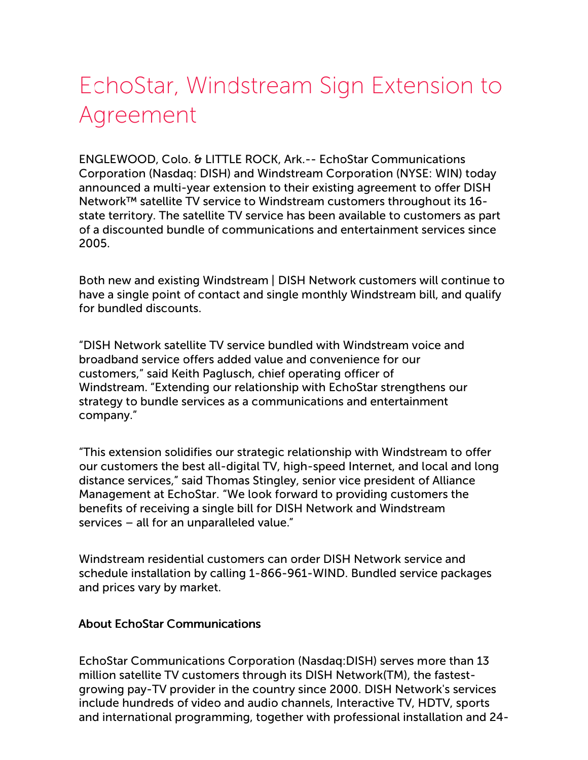## EchoStar, Windstream Sign Extension to Agreement

ENGLEWOOD, Colo. & LITTLE ROCK, Ark.-- EchoStar Communications Corporation (Nasdaq: DISH) and Windstream Corporation (NYSE: WIN) today announced a multi-year extension to their existing agreement to offer DISH Network™ satellite TV service to Windstream customers throughout its 16 state territory. The satellite TV service has been available to customers as part of a discounted bundle of communications and entertainment services since 2005.

Both new and existing Windstream | DISH Network customers will continue to have a single point of contact and single monthly Windstream bill, and qualify for bundled discounts.

"DISH Network satellite TV service bundled with Windstream voice and broadband service offers added value and convenience for our customers," said Keith Paglusch, chief operating officer of Windstream. "Extending our relationship with EchoStar strengthens our strategy to bundle services as a communications and entertainment company."

"This extension solidifies our strategic relationship with Windstream to offer our customers the best all-digital TV, high-speed Internet, and local and long distance services," said Thomas Stingley, senior vice president of Alliance Management at EchoStar. "We look forward to providing customers the benefits of receiving a single bill for DISH Network and Windstream services – all for an unparalleled value."

Windstream residential customers can order DISH Network service and schedule installation by calling 1-866-961-WIND. Bundled service packages and prices vary by market.

## About EchoStar Communications

EchoStar Communications Corporation (Nasdaq:DISH) serves more than 13 million satellite TV customers through its DISH Network(TM), the fastestgrowing pay-TV provider in the country since 2000. DISH Network's services include hundreds of video and audio channels, Interactive TV, HDTV, sports and international programming, together with professional installation and 24